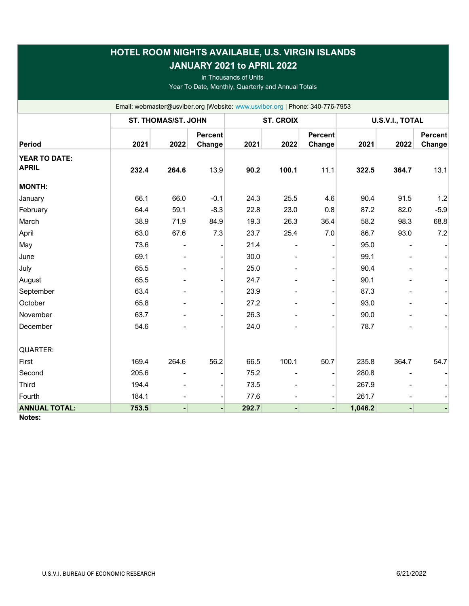| HOTEL ROOM NIGHTS AVAILABLE, U.S. VIRGIN ISLANDS<br>JANUARY 2021 to APRIL 2022<br>In Thousands of Units<br>Year To Date, Monthly, Quarterly and Annual Totals |                            |       |                          |       |                  |                          |         |                 |                          |  |
|---------------------------------------------------------------------------------------------------------------------------------------------------------------|----------------------------|-------|--------------------------|-------|------------------|--------------------------|---------|-----------------|--------------------------|--|
| Email: webmaster@usviber.org  Website: www.usviber.org   Phone: 340-776-7953                                                                                  |                            |       |                          |       |                  |                          |         |                 |                          |  |
|                                                                                                                                                               | <b>ST. THOMAS/ST. JOHN</b> |       |                          |       | <b>ST. CROIX</b> |                          |         | U.S.V.I., TOTAL |                          |  |
| Period                                                                                                                                                        | 2021                       | 2022  | <b>Percent</b><br>Change | 2021  | 2022             | <b>Percent</b><br>Change | 2021    | 2022            | <b>Percent</b><br>Change |  |
| YEAR TO DATE:<br><b>APRIL</b>                                                                                                                                 | 232.4                      | 264.6 | 13.9                     | 90.2  | 100.1            | 11.1                     | 322.5   | 364.7           | 13.1                     |  |
| <b>MONTH:</b>                                                                                                                                                 |                            |       |                          |       |                  |                          |         |                 |                          |  |
| January                                                                                                                                                       | 66.1                       | 66.0  | $-0.1$                   | 24.3  | 25.5             | 4.6                      | 90.4    | 91.5            | 1.2                      |  |
| February                                                                                                                                                      | 64.4                       | 59.1  | $-8.3$                   | 22.8  | 23.0             | 0.8                      | 87.2    | 82.0            | $-5.9$                   |  |
| March                                                                                                                                                         | 38.9                       | 71.9  | 84.9                     | 19.3  | 26.3             | 36.4                     | 58.2    | 98.3            | 68.8                     |  |
| April                                                                                                                                                         | 63.0                       | 67.6  | 7.3                      | 23.7  | 25.4             | 7.0                      | 86.7    | 93.0            | 7.2                      |  |
| May                                                                                                                                                           | 73.6                       |       |                          | 21.4  |                  |                          | 95.0    |                 |                          |  |
| June                                                                                                                                                          | 69.1                       |       |                          | 30.0  |                  |                          | 99.1    |                 |                          |  |
| July                                                                                                                                                          | 65.5                       |       |                          | 25.0  |                  |                          | 90.4    |                 |                          |  |
| August                                                                                                                                                        | 65.5                       |       |                          | 24.7  |                  |                          | 90.1    |                 |                          |  |
| September                                                                                                                                                     | 63.4                       |       |                          | 23.9  |                  |                          | 87.3    |                 |                          |  |
| October                                                                                                                                                       | 65.8                       |       |                          | 27.2  |                  |                          | 93.0    |                 |                          |  |
| November                                                                                                                                                      | 63.7                       |       |                          | 26.3  |                  |                          | 90.0    |                 |                          |  |
| December                                                                                                                                                      | 54.6                       |       |                          | 24.0  |                  |                          | 78.7    |                 |                          |  |
| QUARTER:                                                                                                                                                      |                            |       |                          |       |                  |                          |         |                 |                          |  |
| First                                                                                                                                                         | 169.4                      | 264.6 | 56.2                     | 66.5  | 100.1            | 50.7                     | 235.8   | 364.7           | 54.7                     |  |
| Second                                                                                                                                                        | 205.6                      |       |                          | 75.2  |                  |                          | 280.8   |                 |                          |  |
| <b>Third</b>                                                                                                                                                  | 194.4                      |       |                          | 73.5  |                  |                          | 267.9   |                 |                          |  |
| Fourth                                                                                                                                                        | 184.1                      |       |                          | 77.6  |                  |                          | 261.7   |                 |                          |  |
| <b>ANNUAL TOTAL:</b>                                                                                                                                          | 753.5                      |       |                          | 292.7 |                  |                          | 1,046.2 |                 |                          |  |

Notes: